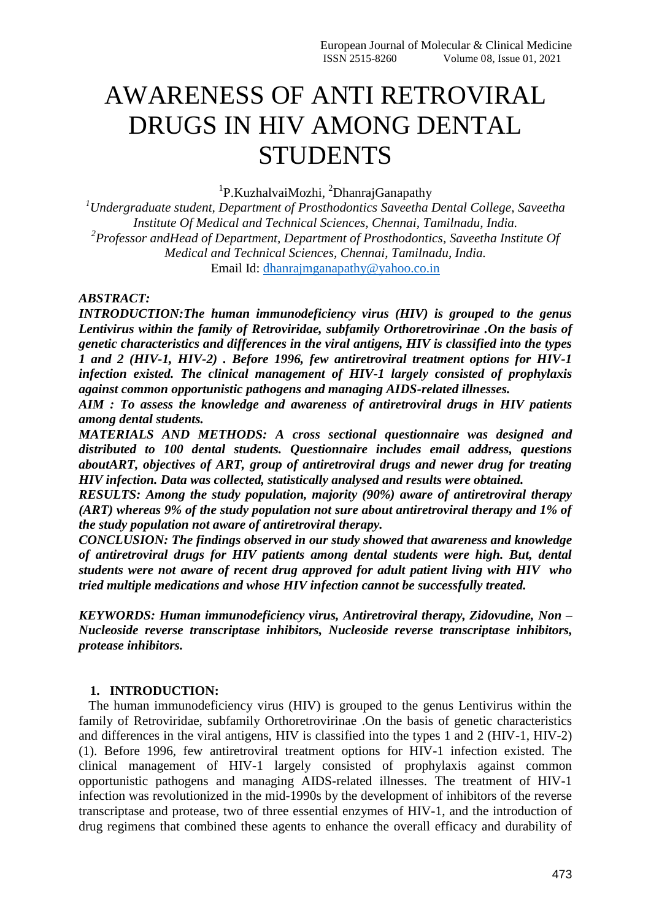# AWARENESS OF ANTI RETROVIRAL DRUGS IN HIV AMONG DENTAL **STUDENTS**

<sup>1</sup>P.KuzhalvaiMozhi, <sup>2</sup>DhanrajGanapathy

*<sup>1</sup>Undergraduate student, Department of Prosthodontics Saveetha Dental College, Saveetha Institute Of Medical and Technical Sciences, Chennai, Tamilnadu, India. 2 Professor andHead of Department, Department of Prosthodontics, Saveetha Institute Of Medical and Technical Sciences, Chennai, Tamilnadu, India.* Email Id: [dhanrajmganapathy@yahoo.co.in](mailto:dhanrajmganapathy@yahoo.co.in)

#### *ABSTRACT:*

*INTRODUCTION:The human immunodeficiency virus (HIV) is grouped to the genus Lentivirus within the family of Retroviridae, subfamily Orthoretrovirinae .On the basis of genetic characteristics and differences in the viral antigens, HIV is classified into the types 1 and 2 (HIV-1, HIV-2) . Before 1996, few antiretroviral treatment options for HIV-1 infection existed. The clinical management of HIV-1 largely consisted of prophylaxis against common opportunistic pathogens and managing AIDS-related illnesses.*

*AIM : To assess the knowledge and awareness of antiretroviral drugs in HIV patients among dental students.*

*MATERIALS AND METHODS: A cross sectional questionnaire was designed and distributed to 100 dental students. Questionnaire includes email address, questions aboutART, objectives of ART, group of antiretroviral drugs and newer drug for treating HIV infection. Data was collected, statistically analysed and results were obtained.*

*RESULTS: Among the study population, majority (90%) aware of antiretroviral therapy (ART) whereas 9% of the study population not sure about antiretroviral therapy and 1% of the study population not aware of antiretroviral therapy.*

*CONCLUSION: The findings observed in our study showed that awareness and knowledge of antiretroviral drugs for HIV patients among dental students were high. But, dental students were not aware of recent drug approved for adult patient living with HIV who tried multiple medications and whose HIV infection cannot be successfully treated.*

*KEYWORDS: Human immunodeficiency virus, Antiretroviral therapy, Zidovudine, Non – Nucleoside reverse transcriptase inhibitors, Nucleoside reverse transcriptase inhibitors, protease inhibitors.*

#### **1. INTRODUCTION:**

 The human immunodeficiency virus (HIV) is grouped to the genus Lentivirus within the family of Retroviridae, subfamily Orthoretrovirinae .On the basis of genetic characteristics and differences in the viral antigens, HIV is classified into the types 1 and 2 (HIV-1, HIV-2) (1). Before 1996, few antiretroviral treatment options for HIV-1 infection existed. The clinical management of HIV-1 largely consisted of prophylaxis against common opportunistic pathogens and managing AIDS-related illnesses. The treatment of HIV-1 infection was revolutionized in the mid-1990s by the development of inhibitors of the reverse transcriptase and protease, two of three essential enzymes of HIV-1, and the introduction of drug regimens that combined these agents to enhance the overall efficacy and durability of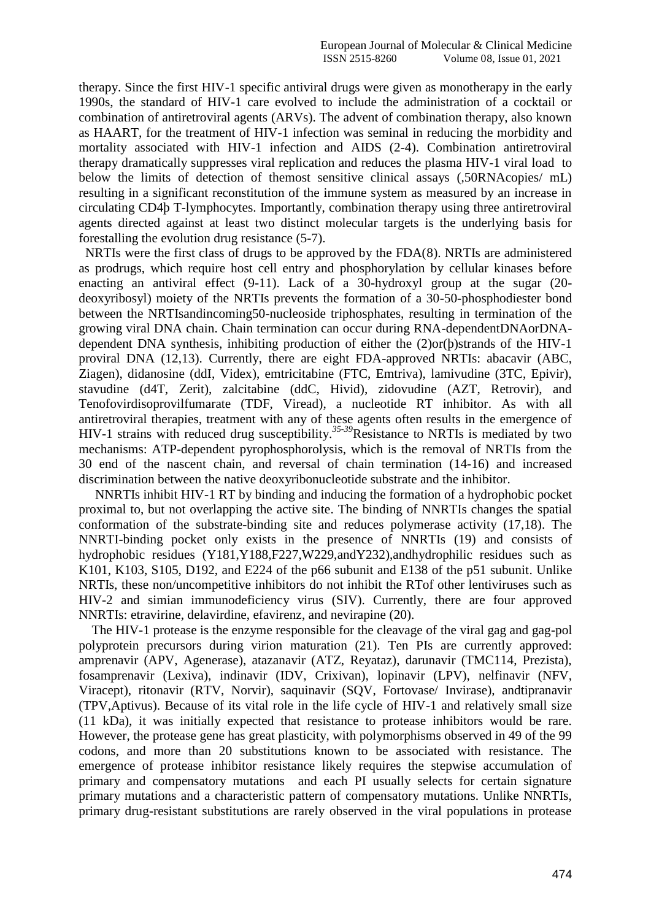therapy. Since the first HIV-1 specific antiviral drugs were given as monotherapy in the early 1990s, the standard of HIV-1 care evolved to include the administration of a cocktail or combination of antiretroviral agents (ARVs). The advent of combination therapy, also known as HAART, for the treatment of HIV-1 infection was seminal in reducing the morbidity and mortality associated with HIV-1 infection and AIDS (2-4). Combination antiretroviral therapy dramatically suppresses viral replication and reduces the plasma HIV-1 viral load to below the limits of detection of themost sensitive clinical assays (,50RNAcopies/ mL) resulting in a significant reconstitution of the immune system as measured by an increase in circulating CD4þ T-lymphocytes. Importantly, combination therapy using three antiretroviral agents directed against at least two distinct molecular targets is the underlying basis for forestalling the evolution drug resistance (5-7).

 NRTIs were the first class of drugs to be approved by the FDA(8). NRTIs are administered as prodrugs, which require host cell entry and phosphorylation by cellular kinases before enacting an antiviral effect (9-11). Lack of a 30-hydroxyl group at the sugar (20 deoxyribosyl) moiety of the NRTIs prevents the formation of a 30-50-phosphodiester bond between the NRTIsandincoming50-nucleoside triphosphates, resulting in termination of the growing viral DNA chain. Chain termination can occur during RNA-dependentDNAorDNAdependent DNA synthesis, inhibiting production of either the (2)or(þ)strands of the HIV-1 proviral DNA (12,13). Currently, there are eight FDA-approved NRTIs: abacavir (ABC, Ziagen), didanosine (ddI, Videx), emtricitabine (FTC, Emtriva), lamivudine (3TC, Epivir), stavudine (d4T, Zerit), zalcitabine (ddC, Hivid), zidovudine (AZT, Retrovir), and Tenofovirdisoprovilfumarate (TDF, Viread), a nucleotide RT inhibitor. As with all antiretroviral therapies, treatment with any of these agents often results in the emergence of HIV-1 strains with reduced drug susceptibility.*35-39*Resistance to NRTIs is mediated by two mechanisms: ATP-dependent pyrophosphorolysis, which is the removal of NRTIs from the 30 end of the nascent chain, and reversal of chain termination (14-16) and increased discrimination between the native deoxyribonucleotide substrate and the inhibitor.

 NNRTIs inhibit HIV-1 RT by binding and inducing the formation of a hydrophobic pocket proximal to, but not overlapping the active site. The binding of NNRTIs changes the spatial conformation of the substrate-binding site and reduces polymerase activity (17,18). The NNRTI-binding pocket only exists in the presence of NNRTIs (19) and consists of hydrophobic residues (Y181,Y188,F227,W229,andY232),andhydrophilic residues such as K101, K103, S105, D192, and E224 of the p66 subunit and E138 of the p51 subunit. Unlike NRTIs, these non/uncompetitive inhibitors do not inhibit the RTof other lentiviruses such as HIV-2 and simian immunodeficiency virus (SIV). Currently, there are four approved NNRTIs: etravirine, delavirdine, efavirenz, and nevirapine (20).

 The HIV-1 protease is the enzyme responsible for the cleavage of the viral gag and gag-pol polyprotein precursors during virion maturation (21). Ten PIs are currently approved: amprenavir (APV, Agenerase), atazanavir (ATZ, Reyataz), darunavir (TMC114, Prezista), fosamprenavir (Lexiva), indinavir (IDV, Crixivan), lopinavir (LPV), nelfinavir (NFV, Viracept), ritonavir (RTV, Norvir), saquinavir (SQV, Fortovase/ Invirase), andtipranavir (TPV,Aptivus). Because of its vital role in the life cycle of HIV-1 and relatively small size (11 kDa), it was initially expected that resistance to protease inhibitors would be rare. However, the protease gene has great plasticity, with polymorphisms observed in 49 of the 99 codons, and more than 20 substitutions known to be associated with resistance. The emergence of protease inhibitor resistance likely requires the stepwise accumulation of primary and compensatory mutations and each PI usually selects for certain signature primary mutations and a characteristic pattern of compensatory mutations. Unlike NNRTIs, primary drug-resistant substitutions are rarely observed in the viral populations in protease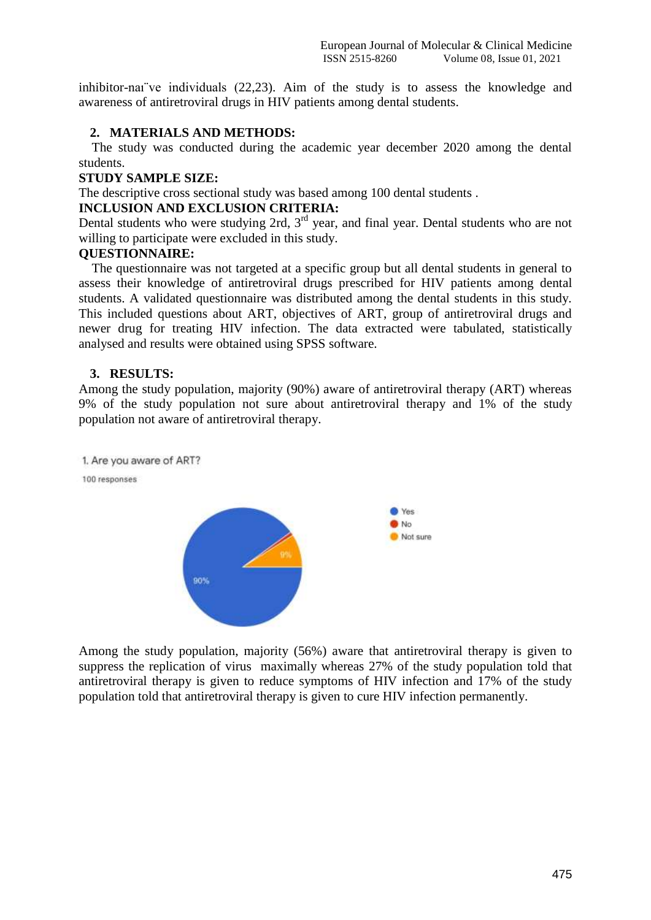inhibitor-naı¨ve individuals (22,23). Aim of the study is to assess the knowledge and awareness of antiretroviral drugs in HIV patients among dental students.

#### **2. MATERIALS AND METHODS:**

 The study was conducted during the academic year december 2020 among the dental students.

#### **STUDY SAMPLE SIZE:**

The descriptive cross sectional study was based among 100 dental students .

#### **INCLUSION AND EXCLUSION CRITERIA:**

Dental students who were studying 2rd,  $3<sup>rd</sup>$  year, and final year. Dental students who are not willing to participate were excluded in this study.

#### **QUESTIONNAIRE:**

 The questionnaire was not targeted at a specific group but all dental students in general to assess their knowledge of antiretroviral drugs prescribed for HIV patients among dental students. A validated questionnaire was distributed among the dental students in this study. This included questions about ART, objectives of ART, group of antiretroviral drugs and newer drug for treating HIV infection. The data extracted were tabulated, statistically analysed and results were obtained using SPSS software.

#### **3. RESULTS:**

Among the study population, majority (90%) aware of antiretroviral therapy (ART) whereas 9% of the study population not sure about antiretroviral therapy and 1% of the study population not aware of antiretroviral therapy.



Among the study population, majority (56%) aware that antiretroviral therapy is given to suppress the replication of virus maximally whereas 27% of the study population told that antiretroviral therapy is given to reduce symptoms of HIV infection and 17% of the study population told that antiretroviral therapy is given to cure HIV infection permanently.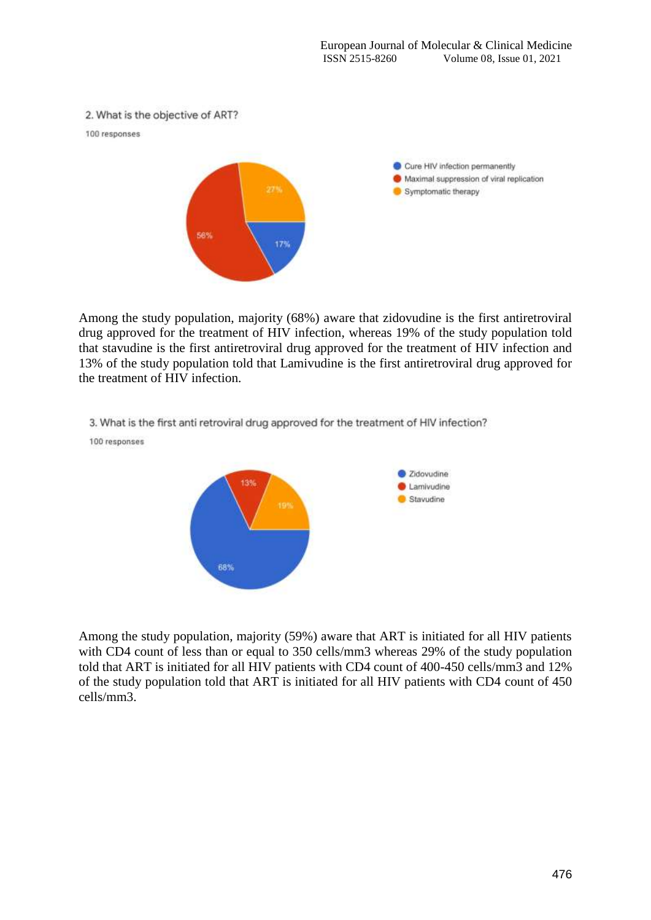

Among the study population, majority (68%) aware that zidovudine is the first antiretroviral drug approved for the treatment of HIV infection, whereas 19% of the study population told that stavudine is the first antiretroviral drug approved for the treatment of HIV infection and 13% of the study population told that Lamivudine is the first antiretroviral drug approved for the treatment of HIV infection.

3. What is the first anti retroviral drug approved for the treatment of HIV infection?

100 responses



Among the study population, majority (59%) aware that ART is initiated for all HIV patients with CD4 count of less than or equal to 350 cells/mm3 whereas 29% of the study population told that ART is initiated for all HIV patients with CD4 count of 400-450 cells/mm3 and 12% of the study population told that ART is initiated for all HIV patients with CD4 count of 450 cells/mm3.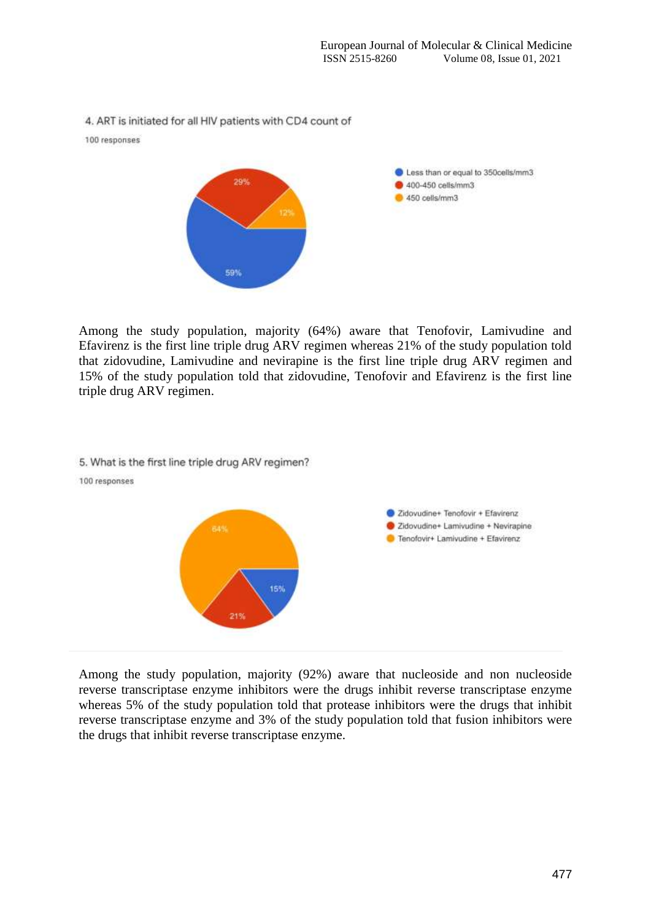4. ART is initiated for all HIV patients with CD4 count of





Among the study population, majority (64%) aware that Tenofovir, Lamivudine and Efavirenz is the first line triple drug ARV regimen whereas 21% of the study population told that zidovudine, Lamivudine and nevirapine is the first line triple drug ARV regimen and 15% of the study population told that zidovudine, Tenofovir and Efavirenz is the first line triple drug ARV regimen.



Among the study population, majority (92%) aware that nucleoside and non nucleoside reverse transcriptase enzyme inhibitors were the drugs inhibit reverse transcriptase enzyme whereas 5% of the study population told that protease inhibitors were the drugs that inhibit reverse transcriptase enzyme and 3% of the study population told that fusion inhibitors were the drugs that inhibit reverse transcriptase enzyme.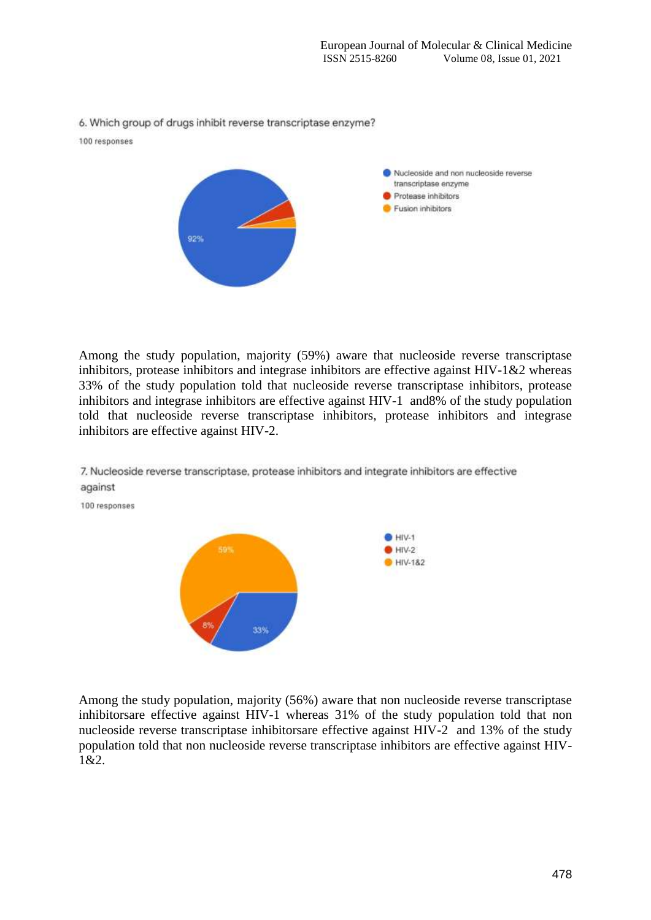6. Which group of drugs inhibit reverse transcriptase enzyme?

100 responses

100 responses



Among the study population, majority (59%) aware that nucleoside reverse transcriptase inhibitors, protease inhibitors and integrase inhibitors are effective against HIV-1&2 whereas 33% of the study population told that nucleoside reverse transcriptase inhibitors, protease inhibitors and integrase inhibitors are effective against HIV-1 and8% of the study population told that nucleoside reverse transcriptase inhibitors, protease inhibitors and integrase inhibitors are effective against HIV-2.



7. Nucleoside reverse transcriptase, protease inhibitors and integrate inhibitors are effective against

Among the study population, majority (56%) aware that non nucleoside reverse transcriptase inhibitorsare effective against HIV-1 whereas 31% of the study population told that non nucleoside reverse transcriptase inhibitorsare effective against HIV-2 and 13% of the study population told that non nucleoside reverse transcriptase inhibitors are effective against HIV-1&2.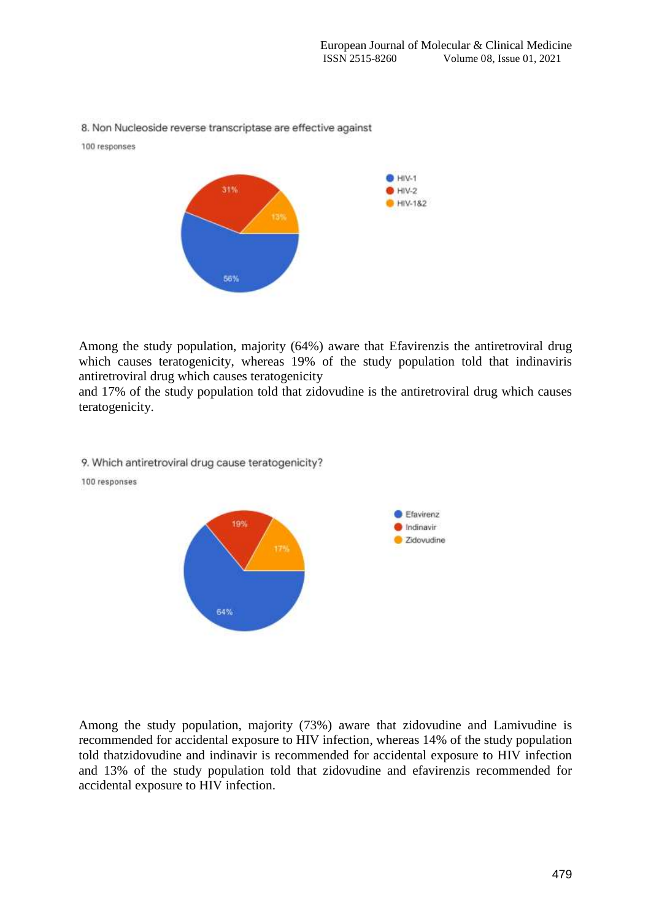8. Non Nucleoside reverse transcriptase are effective against

100 responses



Among the study population, majority (64%) aware that Efavirenzis the antiretroviral drug which causes teratogenicity, whereas 19% of the study population told that indinaviris antiretroviral drug which causes teratogenicity

and 17% of the study population told that zidovudine is the antiretroviral drug which causes teratogenicity.



100 responses



Among the study population, majority (73%) aware that zidovudine and Lamivudine is recommended for accidental exposure to HIV infection, whereas 14% of the study population told thatzidovudine and indinavir is recommended for accidental exposure to HIV infection and 13% of the study population told that zidovudine and efavirenzis recommended for accidental exposure to HIV infection.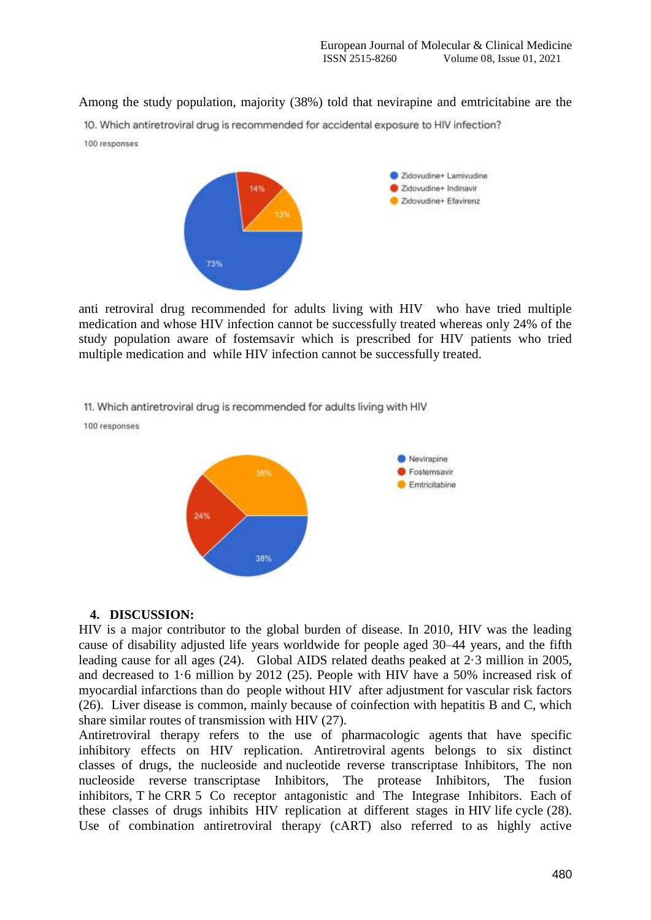Among the study population, majority (38%) told that nevirapine and emtricitabine are the

10. Which antiretroviral drug is recommended for accidental exposure to HIV infection?

100 responses



anti retroviral drug recommended for adults living with HIV who have tried multiple medication and whose HIV infection cannot be successfully treated whereas only 24% of the study population aware of fostemsavir which is prescribed for HIV patients who tried multiple medication and while HIV infection cannot be successfully treated.

11. Which antiretroviral drug is recommended for adults living with HIV

100 responses



#### **4. DISCUSSION:**

HIV is a major contributor to the global burden of disease. In 2010, HIV was the leading cause of disability adjusted life years worldwide for people aged 30–44 years, and the fifth leading cause for all ages (24). Global AIDS related deaths peaked at 2·3 million in 2005, and decreased to 1·6 million by 2012 (25). People with HIV have a 50% increased risk of myocardial infarctions than do people without HIV after adjustment for vascular risk factors (26). Liver disease is common, mainly because of coinfection with hepatitis B and C, which share similar routes of transmission with HIV (27).

Antiretroviral therapy refers to the use of pharmacologic agents that have specific inhibitory effects on HIV replication. Antiretroviral agents belongs to six distinct classes of drugs, the nucleoside and nucleotide reverse transcriptase Inhibitors, The non nucleoside reverse transcriptase Inhibitors, The protease Inhibitors, The fusion inhibitors, T he CRR 5 Co receptor antagonistic and The Integrase Inhibitors. Each of these classes of drugs inhibits HIV replication at different stages in HIV life cycle (28). Use of combination antiretroviral therapy (cART) also referred to as highly active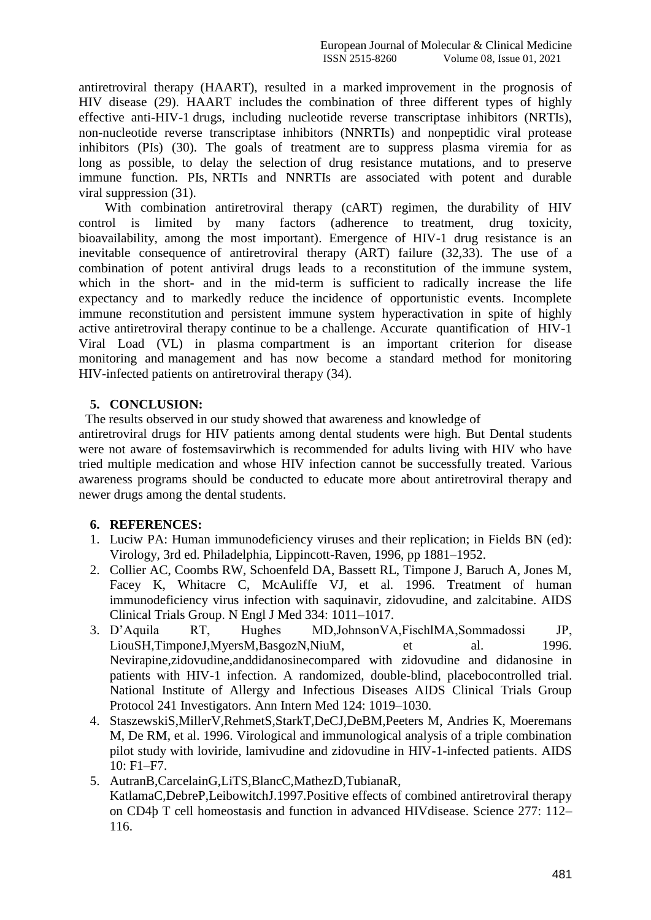antiretroviral therapy (HAART), resulted in a marked improvement in the prognosis of HIV disease (29). HAART includes the combination of three different types of highly effective anti-HIV-1 drugs, including nucleotide reverse transcriptase inhibitors (NRTIs), non-nucleotide reverse transcriptase inhibitors (NNRTIs) and nonpeptidic viral protease inhibitors (PIs) (30). The goals of treatment are to suppress plasma viremia for as long as possible, to delay the selection of drug resistance mutations, and to preserve immune function. PIs, NRTIs and NNRTIs are associated with potent and durable viral suppression (31).

 With combination antiretroviral therapy (cART) regimen, the durability of HIV control is limited by many factors (adherence to treatment, drug toxicity, bioavailability, among the most important). Emergence of HIV-1 drug resistance is an inevitable consequence of antiretroviral therapy (ART) failure (32,33). The use of a combination of potent antiviral drugs leads to a reconstitution of the immune system, which in the short- and in the mid-term is sufficient to radically increase the life expectancy and to markedly reduce the incidence of opportunistic events. Incomplete immune reconstitution and persistent immune system hyperactivation in spite of highly active antiretroviral therapy continue to be a challenge. Accurate quantification of HIV-1 Viral Load (VL) in plasma compartment is an important criterion for disease monitoring and management and has now become a standard method for monitoring HIV-infected patients on antiretroviral therapy (34).

### **5. CONCLUSION:**

The results observed in our study showed that awareness and knowledge of

antiretroviral drugs for HIV patients among dental students were high. But Dental students were not aware of fostemsavirwhich is recommended for adults living with HIV who have tried multiple medication and whose HIV infection cannot be successfully treated. Various awareness programs should be conducted to educate more about antiretroviral therapy and newer drugs among the dental students.

## **6. REFERENCES:**

- 1. Luciw PA: Human immunodeficiency viruses and their replication; in Fields BN (ed): Virology, 3rd ed. Philadelphia, Lippincott-Raven, 1996, pp 1881–1952.
- 2. Collier AC, Coombs RW, Schoenfeld DA, Bassett RL, Timpone J, Baruch A, Jones M, Facey K, Whitacre C, McAuliffe VJ, et al. 1996. Treatment of human immunodeficiency virus infection with saquinavir, zidovudine, and zalcitabine. AIDS Clinical Trials Group. N Engl J Med 334: 1011–1017.
- 3. D'Aquila RT, Hughes MD,JohnsonVA,FischlMA,Sommadossi JP, LiouSH,TimponeJ,MyersM,BasgozN,NiuM, et al. 1996. Nevirapine,zidovudine,anddidanosinecompared with zidovudine and didanosine in patients with HIV-1 infection. A randomized, double-blind, placebocontrolled trial. National Institute of Allergy and Infectious Diseases AIDS Clinical Trials Group Protocol 241 Investigators. Ann Intern Med 124: 1019–1030.
- 4. StaszewskiS,MillerV,RehmetS,StarkT,DeCJ,DeBM,Peeters M, Andries K, Moeremans M, De RM, et al. 1996. Virological and immunological analysis of a triple combination pilot study with loviride, lamivudine and zidovudine in HIV-1-infected patients. AIDS 10: F1–F7.
- 5. AutranB,CarcelainG,LiTS,BlancC,MathezD,TubianaR, KatlamaC,DebreP,LeibowitchJ.1997.Positive effects of combined antiretroviral therapy on CD4þ T cell homeostasis and function in advanced HIVdisease. Science 277: 112– 116.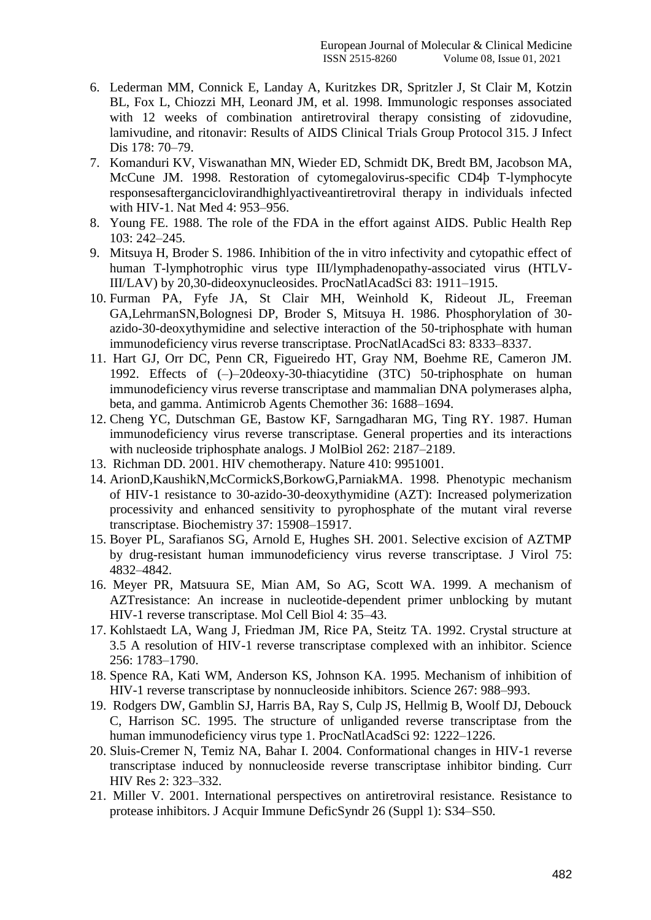- 6. Lederman MM, Connick E, Landay A, Kuritzkes DR, Spritzler J, St Clair M, Kotzin BL, Fox L, Chiozzi MH, Leonard JM, et al. 1998. Immunologic responses associated with 12 weeks of combination antiretroviral therapy consisting of zidovudine, lamivudine, and ritonavir: Results of AIDS Clinical Trials Group Protocol 315. J Infect Dis 178: 70–79.
- 7. Komanduri KV, Viswanathan MN, Wieder ED, Schmidt DK, Bredt BM, Jacobson MA, McCune JM. 1998. Restoration of cytomegalovirus-specific CD4þ T-lymphocyte responsesafterganciclovirandhighlyactiveantiretroviral therapy in individuals infected with HIV-1. Nat Med 4: 953–956.
- 8. Young FE. 1988. The role of the FDA in the effort against AIDS. Public Health Rep 103: 242–245.
- 9. Mitsuya H, Broder S. 1986. Inhibition of the in vitro infectivity and cytopathic effect of human T-lymphotrophic virus type III/lymphadenopathy-associated virus (HTLV-III/LAV) by 20,30-dideoxynucleosides. ProcNatlAcadSci 83: 1911–1915.
- 10. Furman PA, Fyfe JA, St Clair MH, Weinhold K, Rideout JL, Freeman GA,LehrmanSN,Bolognesi DP, Broder S, Mitsuya H. 1986. Phosphorylation of 30 azido-30-deoxythymidine and selective interaction of the 50-triphosphate with human immunodeficiency virus reverse transcriptase. ProcNatlAcadSci 83: 8333–8337.
- 11. Hart GJ, Orr DC, Penn CR, Figueiredo HT, Gray NM, Boehme RE, Cameron JM. 1992. Effects of (–)–20deoxy-30-thiacytidine (3TC) 50-triphosphate on human immunodeficiency virus reverse transcriptase and mammalian DNA polymerases alpha, beta, and gamma. Antimicrob Agents Chemother 36: 1688–1694.
- 12. Cheng YC, Dutschman GE, Bastow KF, Sarngadharan MG, Ting RY. 1987. Human immunodeficiency virus reverse transcriptase. General properties and its interactions with nucleoside triphosphate analogs. J MolBiol 262: 2187–2189.
- 13. Richman DD. 2001. HIV chemotherapy. Nature 410: 9951001.
- 14. ArionD,KaushikN,McCormickS,BorkowG,ParniakMA. 1998. Phenotypic mechanism of HIV-1 resistance to 30-azido-30-deoxythymidine (AZT): Increased polymerization processivity and enhanced sensitivity to pyrophosphate of the mutant viral reverse transcriptase. Biochemistry 37: 15908–15917.
- 15. Boyer PL, Sarafianos SG, Arnold E, Hughes SH. 2001. Selective excision of AZTMP by drug-resistant human immunodeficiency virus reverse transcriptase. J Virol 75: 4832–4842.
- 16. Meyer PR, Matsuura SE, Mian AM, So AG, Scott WA. 1999. A mechanism of AZTresistance: An increase in nucleotide-dependent primer unblocking by mutant HIV-1 reverse transcriptase. Mol Cell Biol 4: 35–43.
- 17. Kohlstaedt LA, Wang J, Friedman JM, Rice PA, Steitz TA. 1992. Crystal structure at 3.5 A resolution of HIV-1 reverse transcriptase complexed with an inhibitor. Science 256: 1783–1790.
- 18. Spence RA, Kati WM, Anderson KS, Johnson KA. 1995. Mechanism of inhibition of HIV-1 reverse transcriptase by nonnucleoside inhibitors. Science 267: 988–993.
- 19. Rodgers DW, Gamblin SJ, Harris BA, Ray S, Culp JS, Hellmig B, Woolf DJ, Debouck C, Harrison SC. 1995. The structure of unliganded reverse transcriptase from the human immunodeficiency virus type 1. ProcNatlAcadSci 92: 1222–1226.
- 20. Sluis-Cremer N, Temiz NA, Bahar I. 2004. Conformational changes in HIV-1 reverse transcriptase induced by nonnucleoside reverse transcriptase inhibitor binding. Curr HIV Res 2: 323–332.
- 21. Miller V. 2001. International perspectives on antiretroviral resistance. Resistance to protease inhibitors. J Acquir Immune DeficSyndr 26 (Suppl 1): S34–S50.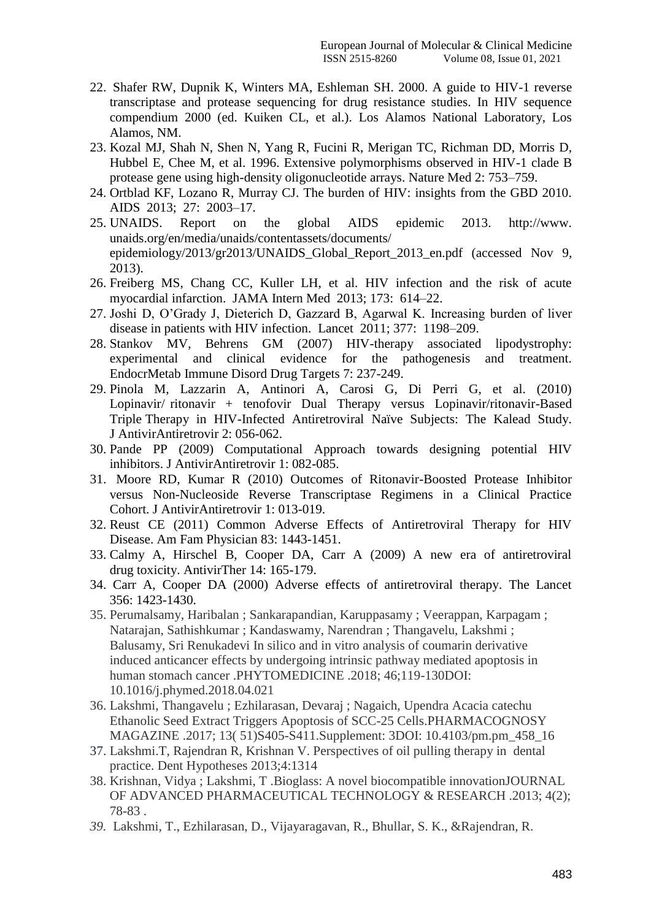- 22. Shafer RW, Dupnik K, Winters MA, Eshleman SH. 2000. A guide to HIV-1 reverse transcriptase and protease sequencing for drug resistance studies. In HIV sequence compendium 2000 (ed. Kuiken CL, et al.). Los Alamos National Laboratory, Los Alamos, NM.
- 23. Kozal MJ, Shah N, Shen N, Yang R, Fucini R, Merigan TC, Richman DD, Morris D, Hubbel E, Chee M, et al. 1996. Extensive polymorphisms observed in HIV-1 clade B protease gene using high-density oligonucleotide arrays. Nature Med 2: 753–759.
- 24. Ortblad KF, Lozano R, Murray CJ. The burden of HIV: insights from the GBD 2010. AIDS 2013; 27: 2003–17.
- 25. UNAIDS. Report on the global AIDS epidemic 2013. http://www. unaids.org/en/media/unaids/contentassets/documents/ epidemiology/2013/gr2013/UNAIDS\_Global\_Report\_2013\_en.pdf (accessed Nov 9, 2013).
- 26. Freiberg MS, Chang CC, Kuller LH, et al. HIV infection and the risk of acute myocardial infarction. JAMA Intern Med 2013; 173: 614–22.
- 27. Joshi D, O'Grady J, Dieterich D, Gazzard B, Agarwal K. Increasing burden of liver disease in patients with HIV infection. Lancet 2011; 377: 1198–209.
- 28. Stankov MV, Behrens GM (2007) HIV-therapy associated lipodystrophy: experimental and clinical evidence for the pathogenesis and treatment. EndocrMetab Immune Disord Drug Targets 7: 237-249.
- 29. Pinola M, Lazzarin A, Antinori A, Carosi G, Di Perri G, et al. (2010) Lopinavir/ ritonavir + tenofovir Dual Therapy versus Lopinavir/ritonavir-Based Triple Therapy in HIV-Infected Antiretroviral Naïve Subjects: The Kalead Study. J AntivirAntiretrovir 2: 056-062.
- 30. Pande PP (2009) Computational Approach towards designing potential HIV inhibitors. J AntivirAntiretrovir 1: 082-085.
- 31. Moore RD, Kumar R (2010) Outcomes of Ritonavir-Boosted Protease Inhibitor versus Non-Nucleoside Reverse Transcriptase Regimens in a Clinical Practice Cohort. J AntivirAntiretrovir 1: 013-019.
- 32. Reust CE (2011) Common Adverse Effects of Antiretroviral Therapy for HIV Disease. Am Fam Physician 83: 1443-1451.
- 33. Calmy A, Hirschel B, Cooper DA, Carr A (2009) A new era of antiretroviral drug toxicity. AntivirTher 14: 165-179.
- 34. Carr A, Cooper DA (2000) Adverse effects of antiretroviral therapy. The Lancet 356: 1423-1430.
- 35. Perumalsamy, Haribalan ; Sankarapandian, Karuppasamy ; Veerappan, Karpagam ; Natarajan, Sathishkumar ; Kandaswamy, Narendran ; Thangavelu, Lakshmi ; Balusamy, Sri Renukadevi In silico and in vitro analysis of coumarin derivative induced anticancer effects by undergoing intrinsic pathway mediated apoptosis in human stomach cancer .PHYTOMEDICINE .2018; 46;119-130DOI: 10.1016/j.phymed.2018.04.021
- 36. Lakshmi, Thangavelu ; Ezhilarasan, Devaraj ; Nagaich, Upendra Acacia catechu Ethanolic Seed Extract Triggers Apoptosis of SCC-25 Cells.PHARMACOGNOSY MAGAZINE .2017; 13( 51)S405-S411.Supplement: 3DOI: 10.4103/pm.pm\_458\_16
- 37. Lakshmi.T, Rajendran R, Krishnan V. Perspectives of oil pulling therapy in dental practice. Dent Hypotheses 2013;4:1314
- 38. Krishnan, Vidya ; Lakshmi, T .Bioglass: A novel biocompatible innovationJOURNAL OF ADVANCED PHARMACEUTICAL TECHNOLOGY & RESEARCH .2013; 4(2); 78-83 .
- *39.* Lakshmi, T., Ezhilarasan, D., Vijayaragavan, R., Bhullar, S. K., &Rajendran, R.